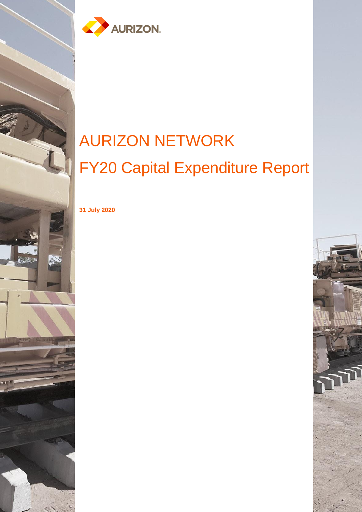

# AURIZON NETWORK FY20 Capital Expenditure Report

**31 July 2020**

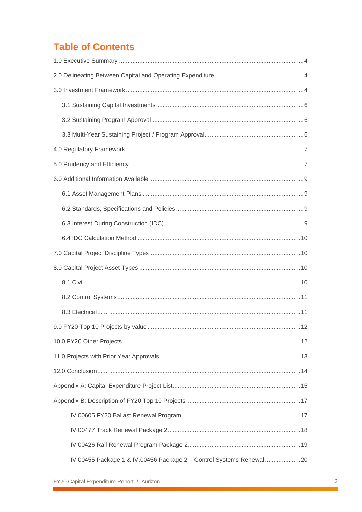# **Table of Contents**

| IV.00455 Package 1 & IV.00456 Package 2 - Control Systems Renewal 20 |  |
|----------------------------------------------------------------------|--|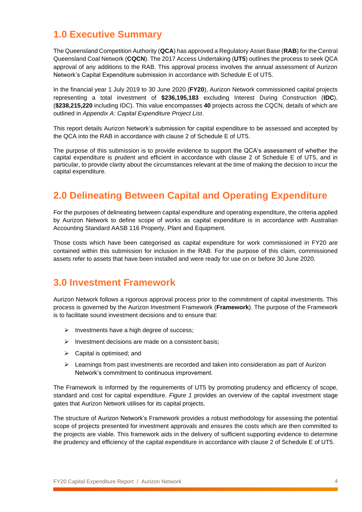# <span id="page-3-0"></span>**1.0 Executive Summary**

The Queensland Competition Authority (**QCA**) has approved a Regulatory Asset Base (**RAB**) for the Central Queensland Coal Network (**CQCN**). The 2017 Access Undertaking (**UT5**) outlines the process to seek QCA approval of any additions to the RAB. This approval process involves the annual assessment of Aurizon Network's Capital Expenditure submission in accordance with Schedule E of UT5.

In the financial year 1 July 2019 to 30 June 2020 (**FY20**), Aurizon Network commissioned capital projects representing a total investment of **\$236,195,183** excluding Interest During Construction (**IDC**), (**\$238,215,220** including IDC). This value encompasses **40** projects across the CQCN, details of which are outlined in *Appendix A: Capital Expenditure Project List*.

This report details Aurizon Network's submission for capital expenditure to be assessed and accepted by the QCA into the RAB in accordance with clause 2 of Schedule E of UT5.

The purpose of this submission is to provide evidence to support the QCA's assessment of whether the capital expenditure is prudent and efficient in accordance with clause 2 of Schedule E of UT5, and in particular, to provide clarity about the circumstances relevant at the time of making the decision to incur the capital expenditure.

# <span id="page-3-1"></span>**2.0 Delineating Between Capital and Operating Expenditure**

For the purposes of delineating between capital expenditure and operating expenditure, the criteria applied by Aurizon Network to define scope of works as capital expenditure is in accordance with Australian Accounting Standard AASB 116 Property, Plant and Equipment.

Those costs which have been categorised as capital expenditure for work commissioned in FY20 are contained within this submission for inclusion in the RAB. For the purpose of this claim, commissioned assets refer to assets that have been installed and were ready for use on or before 30 June 2020.

### <span id="page-3-2"></span>**3.0 Investment Framework**

Aurizon Network follows a rigorous approval process prior to the commitment of capital investments. This process is governed by the Aurizon Investment Framework (**Framework**). The purpose of the Framework is to facilitate sound investment decisions and to ensure that:

- $\triangleright$  Investments have a high degree of success;
- ➢ Investment decisions are made on a consistent basis;
- $\triangleright$  Capital is optimised; and
- $\triangleright$  Learnings from past investments are recorded and taken into consideration as part of Aurizon Network's commitment to continuous improvement.

The Framework is informed by the requirements of UT5 by promoting prudency and efficiency of scope, standard and cost for capital expenditure. *Figure 1* provides an overview of the capital investment stage gates that Aurizon Network utilises for its capital projects.

The structure of Aurizon Network's Framework provides a robust methodology for assessing the potential scope of projects presented for investment approvals and ensures the costs which are then committed to the projects are viable. This framework aids in the delivery of sufficient supporting evidence to determine the prudency and efficiency of the capital expenditure in accordance with clause 2 of Schedule E of UT5.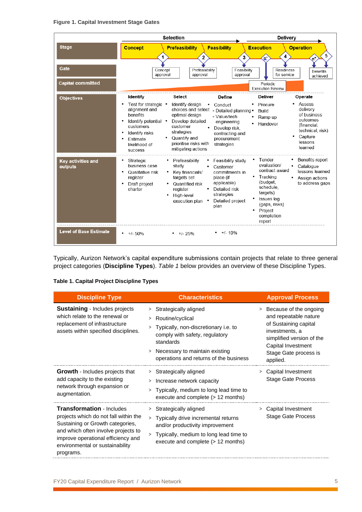#### **Figure 1. Capital Investment Stage Gates**

|                                      | <b>Selection</b>                                                                                                                                                    |                                                                                                                                                                                |                                                                                                                                            | Delivery                                                                                                                                                          |                                                                                                                              |
|--------------------------------------|---------------------------------------------------------------------------------------------------------------------------------------------------------------------|--------------------------------------------------------------------------------------------------------------------------------------------------------------------------------|--------------------------------------------------------------------------------------------------------------------------------------------|-------------------------------------------------------------------------------------------------------------------------------------------------------------------|------------------------------------------------------------------------------------------------------------------------------|
| <b>Stage</b>                         | <b>Concept</b>                                                                                                                                                      | <b>Prefeasibility</b><br>$\mathbf{2}$                                                                                                                                          | <b>Feasibility</b><br>3                                                                                                                    | <b>Execution</b><br>4<br>'n                                                                                                                                       | <b>Operation</b><br>5                                                                                                        |
| Gate                                 | Concept<br>approval                                                                                                                                                 | Prefeasibility<br>approval                                                                                                                                                     | Feasibility<br>approval                                                                                                                    | Readiness<br>for service                                                                                                                                          | Benefits<br>achieved                                                                                                         |
| <b>Capital committed</b>             |                                                                                                                                                                     |                                                                                                                                                                                |                                                                                                                                            | Periodic<br><b>Execution Review</b>                                                                                                                               |                                                                                                                              |
| <b>Objectives</b>                    | Identify<br>Test for strategic •<br>alignment and<br>benefits<br>ldentify potential •<br>customers<br>Identify risks<br>Estimate<br>likelihood of<br><b>SUCCeSS</b> | Select<br>Identify design<br>choices and select<br>optimal design<br>Develop detailed<br>customer<br>strategies<br>Quantify and<br>prioritise risks with<br>mitigating actions | Define<br>Conduct<br>- Detailed planning •<br>- Value/tech<br>engineering<br>Develop risk.<br>contracting and<br>procurement<br>strategies | Deliver<br>Procure<br>Build<br>Ramp up<br>Handover                                                                                                                | Operate<br>Assess<br>delivery<br>of business<br>outcomes<br>(financial,<br>technical, risk)<br>Capture<br>lessons<br>learned |
| <b>Key activities and</b><br>outputs | Strategic<br>business case<br>Qualitative risk<br>register<br>Draft project<br>charter                                                                              | Prefeasibility<br>study<br>Kev financials/<br>targets set<br>Quantified risk<br>register<br>High-level<br>execution plan                                                       | Feasibility study<br>Customer<br>commitments in<br>place (if<br>applicable)<br>Detailed risk<br>strategies<br>Detailed project<br>plan     | Tender<br>evaluation/<br>contract award<br>Tracking<br>(budget,<br>schedule.<br>targets)<br><b>Issues log</b><br>(gaps, risks)<br>Project<br>completion<br>report | Benefits report<br>$\bullet$<br>Catalogue<br>lessons learned<br>Assign actions<br>to address gaps                            |
| <b>Level of Base Estimate</b>        | $+/- 50%$                                                                                                                                                           | $+/- 25%$                                                                                                                                                                      | $+/- 10%$<br>٠                                                                                                                             |                                                                                                                                                                   |                                                                                                                              |

Typically, Aurizon Network's capital expenditure submissions contain projects that relate to three general project categories (**Discipline Types**). *Table 1* below provides an overview of these Discipline Types.

### **Table 1. Capital Project Discipline Types**

| <b>Discipline Type</b>                                                                                                                                                                                                                     | <b>Characteristics</b>                                                                                                                                                                                                                     |   | <b>Approval Process</b>                                                                                                                                                            |
|--------------------------------------------------------------------------------------------------------------------------------------------------------------------------------------------------------------------------------------------|--------------------------------------------------------------------------------------------------------------------------------------------------------------------------------------------------------------------------------------------|---|------------------------------------------------------------------------------------------------------------------------------------------------------------------------------------|
| <b>Sustaining - Includes projects</b><br>which relate to the renewal or<br>replacement of infrastructure<br>assets within specified disciplines.                                                                                           | Strategically aligned<br>$\, > \,$<br>Routine/cyclical<br>><br>Typically, non-discretionary i.e. to<br>comply with safety, regulatory<br>standards<br>Necessary to maintain existing<br>$\rm{>}$<br>operations and returns of the business |   | Because of the ongoing<br>and repeatable nature<br>of Sustaining capital<br>investments, a<br>simplified version of the<br>Capital Investment<br>Stage Gate process is<br>applied. |
| <b>Growth</b> - Includes projects that<br>add capacity to the existing<br>network through expansion or<br>augmentation.                                                                                                                    | > Strategically aligned<br>Increase network capacity<br>Typically, medium to long lead time to<br>execute and complete (> 12 months)                                                                                                       |   | Capital Investment<br>Stage Gate Process                                                                                                                                           |
| <b>Transformation - Includes</b><br>projects which do not fall within the<br>Sustaining or Growth categories,<br>and which often involve projects to<br>improve operational efficiency and<br>environmental or sustainability<br>programs. | > Strategically aligned<br>Typically drive incremental returns<br>$\geq$<br>and/or productivity improvement<br>Typically, medium to long lead time to<br>execute and complete $(> 12$ months)                                              | > | Capital Investment<br>Stage Gate Process                                                                                                                                           |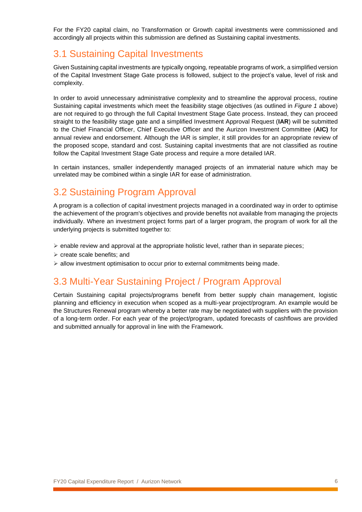For the FY20 capital claim, no Transformation or Growth capital investments were commissioned and accordingly all projects within this submission are defined as Sustaining capital investments.

### <span id="page-5-0"></span>3.1 Sustaining Capital Investments

Given Sustaining capital investments are typically ongoing, repeatable programs of work, a simplified version of the Capital Investment Stage Gate process is followed, subject to the project's value, level of risk and complexity.

In order to avoid unnecessary administrative complexity and to streamline the approval process, routine Sustaining capital investments which meet the feasibility stage objectives (as outlined in *Figure 1* above) are not required to go through the full Capital Investment Stage Gate process. Instead, they can proceed straight to the feasibility stage gate and a simplified Investment Approval Request (**IAR**) will be submitted to the Chief Financial Officer, Chief Executive Officer and the Aurizon Investment Committee (**AIC)** for annual review and endorsement. Although the IAR is simpler, it still provides for an appropriate review of the proposed scope, standard and cost. Sustaining capital investments that are not classified as routine follow the Capital Investment Stage Gate process and require a more detailed IAR.

In certain instances, smaller independently managed projects of an immaterial nature which may be unrelated may be combined within a single IAR for ease of administration.

# <span id="page-5-1"></span>3.2 Sustaining Program Approval

A program is a collection of capital investment projects managed in a coordinated way in order to optimise the achievement of the program's objectives and provide benefits not available from managing the projects individually. Where an investment project forms part of a larger program, the program of work for all the underlying projects is submitted together to:

- $\triangleright$  enable review and approval at the appropriate holistic level, rather than in separate pieces;
- ➢ create scale benefits; and
- $\triangleright$  allow investment optimisation to occur prior to external commitments being made.

### <span id="page-5-2"></span>3.3 Multi-Year Sustaining Project / Program Approval

Certain Sustaining capital projects/programs benefit from better supply chain management, logistic planning and efficiency in execution when scoped as a multi-year project/program. An example would be the Structures Renewal program whereby a better rate may be negotiated with suppliers with the provision of a long-term order. For each year of the project/program, updated forecasts of cashflows are provided and submitted annually for approval in line with the Framework.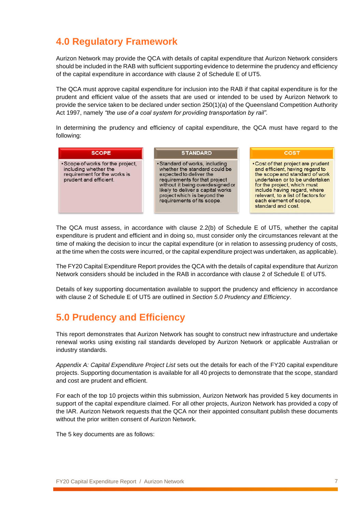### <span id="page-6-0"></span>**4.0 Regulatory Framework**

Aurizon Network may provide the QCA with details of capital expenditure that Aurizon Network considers should be included in the RAB with sufficient supporting evidence to determine the prudency and efficiency of the capital expenditure in accordance with clause 2 of Schedule E of UT5.

The QCA must approve capital expenditure for inclusion into the RAB if that capital expenditure is for the prudent and efficient value of the assets that are used or intended to be used by Aurizon Network to provide the service taken to be declared under section 250(1)(a) of the Queensland Competition Authority Act 1997, namely *"the use of a coal system for providing transportation by rail".*

In determining the prudency and efficiency of capital expenditure, the QCA must have regard to the following:

| <b>SCOPE</b>                                                                                                         | <b>STANDARD</b>                                                                                                                                                                                                                                                   | <b>COST</b>                                                                                                                                                                                                                                                                                    |
|----------------------------------------------------------------------------------------------------------------------|-------------------------------------------------------------------------------------------------------------------------------------------------------------------------------------------------------------------------------------------------------------------|------------------------------------------------------------------------------------------------------------------------------------------------------------------------------------------------------------------------------------------------------------------------------------------------|
| • Scope of works for the project,<br>including whether the<br>requirement for the works is<br>prudent and efficient. | • Standard of works, including<br>whether the standard could be<br>expected to deliver the<br>requirements for that project<br>without it being overdesigned or<br>likely to deliver a capital works<br>project which is beyond the<br>requirements of its scope. | • Cost of that project are prudent<br>and efficient, having regard to<br>the scope and standard of work<br>undertaken or to be undertaken<br>for the project, which must<br>include having regard, where<br>relevant, to a list of factors for<br>each element of scope,<br>standard and cost. |

The QCA must assess, in accordance with clause 2.2(b) of Schedule E of UT5, whether the capital expenditure is prudent and efficient and in doing so, must consider only the circumstances relevant at the time of making the decision to incur the capital expenditure (or in relation to assessing prudency of costs, at the time when the costs were incurred, or the capital expenditure project was undertaken, as applicable).

The FY20 Capital Expenditure Report provides the QCA with the details of capital expenditure that Aurizon Network considers should be included in the RAB in accordance with clause 2 of Schedule E of UT5.

Details of key supporting documentation available to support the prudency and efficiency in accordance with clause 2 of Schedule E of UT5 are outlined in *Section 5.0 Prudency and Efficiency*.

# <span id="page-6-1"></span>**5.0 Prudency and Efficiency**

This report demonstrates that Aurizon Network has sought to construct new infrastructure and undertake renewal works using existing rail standards developed by Aurizon Network or applicable Australian or industry standards.

*Appendix A: Capital Expenditure Project List* sets out the details for each of the FY20 capital expenditure projects. Supporting documentation is available for all 40 projects to demonstrate that the scope, standard and cost are prudent and efficient.

For each of the top 10 projects within this submission, Aurizon Network has provided 5 key documents in support of the capital expenditure claimed. For all other projects, Aurizon Network has provided a copy of the IAR. Aurizon Network requests that the QCA nor their appointed consultant publish these documents without the prior written consent of Aurizon Network.

The 5 key documents are as follows: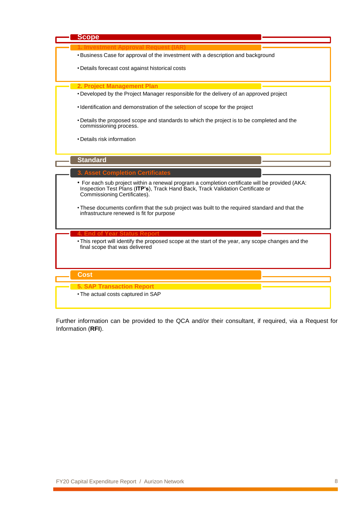

Further information can be provided to the QCA and/or their consultant, if required, via a Request for Information (**RFI**).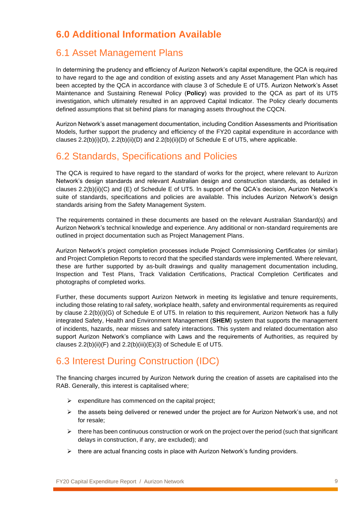# <span id="page-8-0"></span>**6.0 Additional Information Available**

### <span id="page-8-1"></span>6.1 Asset Management Plans

In determining the prudency and efficiency of Aurizon Network's capital expenditure, the QCA is required to have regard to the age and condition of existing assets and any Asset Management Plan which has been accepted by the QCA in accordance with clause 3 of Schedule E of UT5. Aurizon Network's Asset Maintenance and Sustaining Renewal Policy (**Policy**) was provided to the QCA as part of its UT5 investigation, which ultimately resulted in an approved Capital Indicator. The Policy clearly documents defined assumptions that sit behind plans for managing assets throughout the CQCN.

Aurizon Network's asset management documentation, including Condition Assessments and Prioritisation Models, further support the prudency and efficiency of the FY20 capital expenditure in accordance with clauses  $2.2(b)(i)(D)$ ,  $2.2(b)(ii)(D)$  and  $2.2(b)(ii)(D)$  of Schedule E of UT5, where applicable.

### <span id="page-8-2"></span>6.2 Standards, Specifications and Policies

The QCA is required to have regard to the standard of works for the project, where relevant to Aurizon Network's design standards and relevant Australian design and construction standards, as detailed in clauses 2.2(b)(ii)(C) and (E) of Schedule E of UT5. In support of the QCA's decision, Aurizon Network's suite of standards, specifications and policies are available. This includes Aurizon Network's design standards arising from the Safety Management System.

The requirements contained in these documents are based on the relevant Australian Standard(s) and Aurizon Network's technical knowledge and experience. Any additional or non-standard requirements are outlined in project documentation such as Project Management Plans.

Aurizon Network's project completion processes include Project Commissioning Certificates (or similar) and Project Completion Reports to record that the specified standards were implemented. Where relevant, these are further supported by as-built drawings and quality management documentation including, Inspection and Test Plans, Track Validation Certifications, Practical Completion Certificates and photographs of completed works.

Further, these documents support Aurizon Network in meeting its legislative and tenure requirements, including those relating to rail safety, workplace health, safety and environmental requirements as required by clause 2.2(b)(i)(G) of Schedule E of UT5. In relation to this requirement, Aurizon Network has a fully integrated Safety, Health and Environment Management (**SHEM**) system that supports the management of incidents, hazards, near misses and safety interactions. This system and related documentation also support Aurizon Network's compliance with Laws and the requirements of Authorities, as required by clauses  $2.2(b)(ii)(F)$  and  $2.2(b)(iii)(E)(3)$  of Schedule E of UT5.

### <span id="page-8-3"></span>6.3 Interest During Construction (IDC)

The financing charges incurred by Aurizon Network during the creation of assets are capitalised into the RAB. Generally, this interest is capitalised where;

- $\triangleright$  expenditure has commenced on the capital project;
- $\triangleright$  the assets being delivered or renewed under the project are for Aurizon Network's use, and not for resale;
- $\triangleright$  there has been continuous construction or work on the project over the period (such that significant delays in construction, if any, are excluded); and
- $\triangleright$  there are actual financing costs in place with Aurizon Network's funding providers.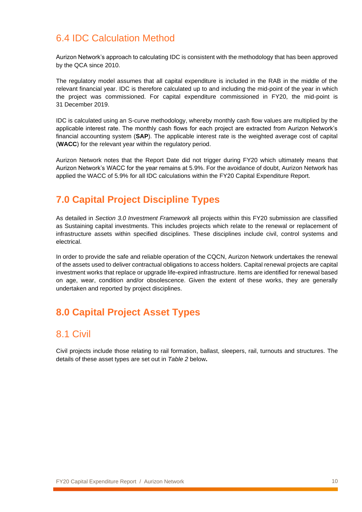### <span id="page-9-0"></span>6.4 IDC Calculation Method

Aurizon Network's approach to calculating IDC is consistent with the methodology that has been approved by the QCA since 2010.

The regulatory model assumes that all capital expenditure is included in the RAB in the middle of the relevant financial year. IDC is therefore calculated up to and including the mid-point of the year in which the project was commissioned. For capital expenditure commissioned in FY20, the mid-point is 31 December 2019.

IDC is calculated using an S-curve methodology, whereby monthly cash flow values are multiplied by the applicable interest rate. The monthly cash flows for each project are extracted from Aurizon Network's financial accounting system (**SAP**). The applicable interest rate is the weighted average cost of capital (**WACC**) for the relevant year within the regulatory period.

Aurizon Network notes that the Report Date did not trigger during FY20 which ultimately means that Aurizon Network's WACC for the year remains at 5.9%. For the avoidance of doubt, Aurizon Network has applied the WACC of 5.9% for all IDC calculations within the FY20 Capital Expenditure Report.

# <span id="page-9-1"></span>**7.0 Capital Project Discipline Types**

As detailed in *Section 3.0 Investment Framework* all projects within this FY20 submission are classified as Sustaining capital investments. This includes projects which relate to the renewal or replacement of infrastructure assets within specified disciplines. These disciplines include civil, control systems and electrical.

In order to provide the safe and reliable operation of the CQCN, Aurizon Network undertakes the renewal of the assets used to deliver contractual obligations to access holders. Capital renewal projects are capital investment works that replace or upgrade life-expired infrastructure. Items are identified for renewal based on age, wear, condition and/or obsolescence. Given the extent of these works, they are generally undertaken and reported by project disciplines.

# <span id="page-9-2"></span>**8.0 Capital Project Asset Types**

### <span id="page-9-3"></span>8.1 Civil

Civil projects include those relating to rail formation, ballast, sleepers, rail, turnouts and structures. The details of these asset types are set out in *Table 2* below**.**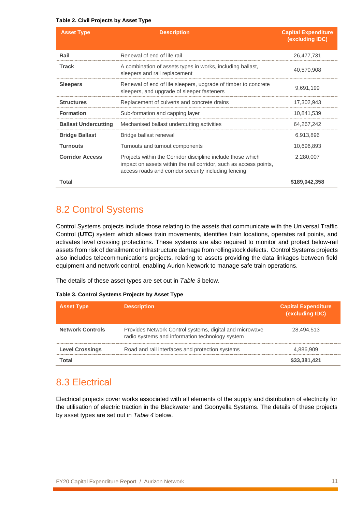#### **Table 2. Civil Projects by Asset Type**

| <b>Asset Type</b>           | <b>Description</b>                                                                                                                                                                       | <b>Capital Expenditure</b><br>(excluding IDC) |
|-----------------------------|------------------------------------------------------------------------------------------------------------------------------------------------------------------------------------------|-----------------------------------------------|
| Rail                        | Renewal of end of life rail                                                                                                                                                              | 26,477,731                                    |
| <b>Track</b>                | A combination of assets types in works, including ballast,<br>sleepers and rail replacement                                                                                              | 40,570,908                                    |
| <b>Sleepers</b>             | Renewal of end of life sleepers, upgrade of timber to concrete<br>sleepers, and upgrade of sleeper fasteners                                                                             | 9,691,199                                     |
| <b>Structures</b>           | Replacement of culverts and concrete drains                                                                                                                                              | 17,302,943                                    |
| <b>Formation</b>            | Sub-formation and capping layer                                                                                                                                                          | 10,841,539                                    |
| <b>Ballast Undercutting</b> | Mechanised ballast undercutting activities                                                                                                                                               | 64,267,242                                    |
| <b>Bridge Ballast</b>       | Bridge ballast renewal                                                                                                                                                                   | 6,913,896                                     |
| <b>Turnouts</b>             | Turnouts and turnout components                                                                                                                                                          | 10,696,893                                    |
| <b>Corridor Access</b>      | Projects within the Corridor discipline include those which<br>impact on assets within the rail corridor, such as access points,<br>access roads and corridor security including fencing | 2,280,007                                     |
| Total                       |                                                                                                                                                                                          | \$189,042,358                                 |

### <span id="page-10-0"></span>8.2 Control Systems

Control Systems projects include those relating to the assets that communicate with the Universal Traffic Control (**UTC**) system which allows train movements, identifies train locations, operates rail points, and activates level crossing protections. These systems are also required to monitor and protect below-rail assets from risk of derailment or infrastructure damage from rollingstock defects. Control Systems projects also includes telecommunications projects, relating to assets providing the data linkages between field equipment and network control, enabling Aurion Network to manage safe train operations.

The details of these asset types are set out in *Table 3* below.

#### **Table 3. Control Systems Projects by Asset Type**

| <b>Asset Type</b>       | <b>Description</b>                                                                                         | <b>Capital Expenditure</b><br>(excluding IDC) |
|-------------------------|------------------------------------------------------------------------------------------------------------|-----------------------------------------------|
| <b>Network Controls</b> | Provides Network Control systems, digital and microwave<br>radio systems and information technology system | 28,494,513                                    |
| <b>Level Crossings</b>  | Road and rail interfaces and protection systems                                                            | 4.886.909                                     |
| Total                   |                                                                                                            | \$33,381,421                                  |

### <span id="page-10-1"></span>8.3 Electrical

Electrical projects cover works associated with all elements of the supply and distribution of electricity for the utilisation of electric traction in the Blackwater and Goonyella Systems. The details of these projects by asset types are set out in *Table 4* below.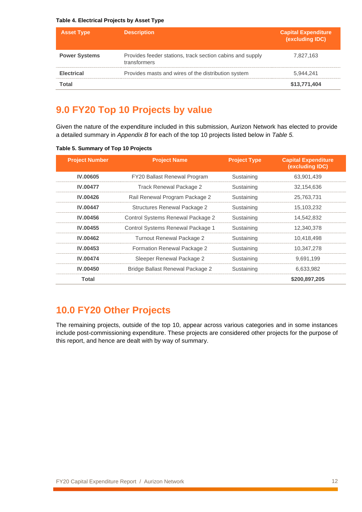#### **Table 4. Electrical Projects by Asset Type**

| <b>Asset Type</b>    | <b>Description</b>                                                        | <b>Capital Expenditure</b><br>(excluding IDC) |
|----------------------|---------------------------------------------------------------------------|-----------------------------------------------|
| <b>Power Systems</b> | Provides feeder stations, track section cabins and supply<br>transformers | 7,827,163                                     |
| <b>Electrical</b>    | Provides masts and wires of the distribution system                       | 5.944.241                                     |
| Total                |                                                                           | \$13,771,404                                  |

## <span id="page-11-0"></span>**9.0 FY20 Top 10 Projects by value**

Given the nature of the expenditure included in this submission, Aurizon Network has elected to provide a detailed summary in *Appendix B* for each of the top 10 projects listed below in *Table 5.*

|  | Table 5. Summary of Top 10 Projects |  |  |  |
|--|-------------------------------------|--|--|--|
|--|-------------------------------------|--|--|--|

| <b>Project Number</b> | <b>Project Name</b>                 | <b>Project Type</b> | <b>Capital Expenditure</b><br>(excluding IDC) |
|-----------------------|-------------------------------------|---------------------|-----------------------------------------------|
| <b>IV.00605</b>       | FY20 Ballast Renewal Program        | Sustaining          | 63,901,439                                    |
| <b>IV.00477</b>       | Track Renewal Package 2             | Sustaining          | 32,154,636                                    |
| <b>IV.00426</b>       | Rail Renewal Program Package 2      | Sustaining          | 25,763,731                                    |
| <b>IV.00447</b>       | <b>Structures Renewal Package 2</b> | Sustaining          | 15,103,232                                    |
| <b>IV.00456</b>       | Control Systems Renewal Package 2   | Sustaining          | 14,542,832                                    |
| <b>IV.00455</b>       | Control Systems Renewal Package 1   | Sustaining          | 12,340,378                                    |
| <b>IV.00462</b>       | Turnout Renewal Package 2           | Sustaining          | 10,418,498                                    |
| <b>IV.00453</b>       | Formation Renewal Package 2         | Sustaining          | 10,347,278                                    |
| <b>IV.00474</b>       | Sleeper Renewal Package 2           | Sustaining          | 9,691,199                                     |
| <b>IV.00450</b>       | Bridge Ballast Renewal Package 2    | Sustaining          | 6,633,982                                     |
| <b>Total</b>          |                                     |                     | \$200,897,205                                 |

### <span id="page-11-1"></span>**10.0 FY20 Other Projects**

The remaining projects, outside of the top 10, appear across various categories and in some instances include post-commissioning expenditure. These projects are considered other projects for the purpose of this report, and hence are dealt with by way of summary.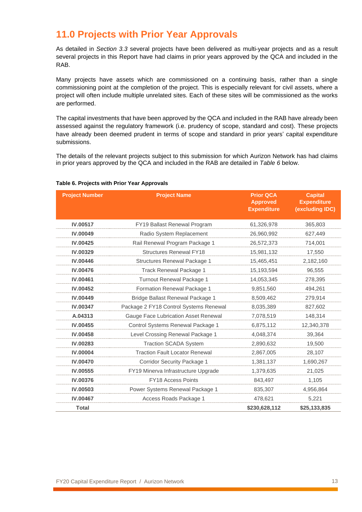### <span id="page-12-0"></span>**11.0 Projects with Prior Year Approvals**

As detailed in *Section 3.3* several projects have been delivered as multi-year projects and as a result several projects in this Report have had claims in prior years approved by the QCA and included in the RAB.

Many projects have assets which are commissioned on a continuing basis, rather than a single commissioning point at the completion of the project. This is especially relevant for civil assets, where a project will often include multiple unrelated sites. Each of these sites will be commissioned as the works are performed.

The capital investments that have been approved by the QCA and included in the RAB have already been assessed against the regulatory framework (i.e. prudency of scope, standard and cost). These projects have already been deemed prudent in terms of scope and standard in prior years' capital expenditure submissions.

The details of the relevant projects subject to this submission for which Aurizon Network has had claims in prior years approved by the QCA and included in the RAB are detailed in *Table 6* below.

| <b>Project Number</b> | <b>Project Name</b>                    | <b>Prior QCA</b><br><b>Approved</b><br><b>Expenditure</b> | <b>Capital</b><br><b>Expenditure</b><br>(excluding IDC) |
|-----------------------|----------------------------------------|-----------------------------------------------------------|---------------------------------------------------------|
| IV.00517              | FY19 Ballast Renewal Program           | 61,326,978                                                | 365,803                                                 |
| IV.00049              | Radio System Replacement               | 26,960,992                                                | 627,449                                                 |
| IV.00425              | Rail Renewal Program Package 1         | 26,572,373                                                | 714,001                                                 |
| IV.00329              | <b>Structures Renewal FY18</b>         | 15,981,132                                                | 17,550                                                  |
| <b>IV.00446</b>       | Structures Renewal Package 1           | 15,465,451                                                | 2,182,160                                               |
| <b>IV.00476</b>       | Track Renewal Package 1                | 15,193,594                                                | 96,555                                                  |
| <b>IV.00461</b>       | Turnout Renewal Package 1              | 14,053,345                                                | 278,395                                                 |
| IV.00452              | Formation Renewal Package 1            | 9,851,560                                                 | 494,261                                                 |
| <b>IV.00449</b>       | Bridge Ballast Renewal Package 1       | 8,509,462                                                 | 279,914                                                 |
| <b>IV.00347</b>       | Package 2 FY18 Control Systems Renewal | 8,035,389                                                 | 827,602                                                 |
| A.04313               | Gauge Face Lubrication Asset Renewal   | 7,078,519                                                 | 148,314                                                 |
| IV.00455              | Control Systems Renewal Package 1      | 6,875,112                                                 | 12,340,378                                              |
| <b>IV.00458</b>       | Level Crossing Renewal Package 1       | 4,048,374                                                 | 39,364                                                  |
| IV.00283              | <b>Traction SCADA System</b>           | 2,890,632                                                 | 19,500                                                  |
| <b>IV.00004</b>       | <b>Traction Fault Locator Renewal</b>  | 2,867,005                                                 | 28,107                                                  |
| <b>IV.00470</b>       | <b>Corridor Security Package 1</b>     | 1,381,137                                                 | 1,690,267                                               |
| IV.00555              | FY19 Minerva Infrastructure Upgrade    | 1,379,635                                                 | 21,025                                                  |
| <b>IV.00376</b>       | <b>FY18 Access Points</b>              | 843,497                                                   | 1,105                                                   |
| <b>IV.00503</b>       | Power Systems Renewal Package 1        | 835,307                                                   | 4,956,864                                               |
| <b>IV.00467</b>       | Access Roads Package 1                 | 478,621                                                   | 5,221                                                   |
| <b>Total</b>          |                                        | \$230,628,112                                             | \$25,133,835                                            |

#### **Table 6. Projects with Prior Year Approvals**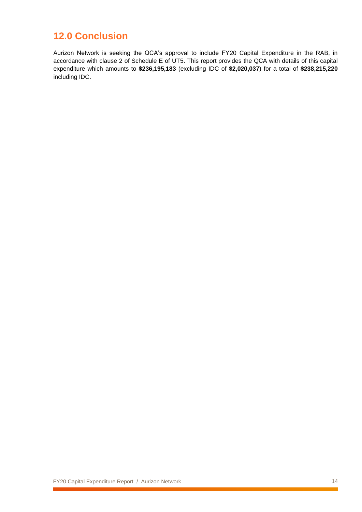### <span id="page-13-0"></span>**12.0 Conclusion**

Aurizon Network is seeking the QCA's approval to include FY20 Capital Expenditure in the RAB, in accordance with clause 2 of Schedule E of UT5. This report provides the QCA with details of this capital expenditure which amounts to **\$236,195,183** (excluding IDC of **\$2,020,037**) for a total of **\$238,215,220** including IDC.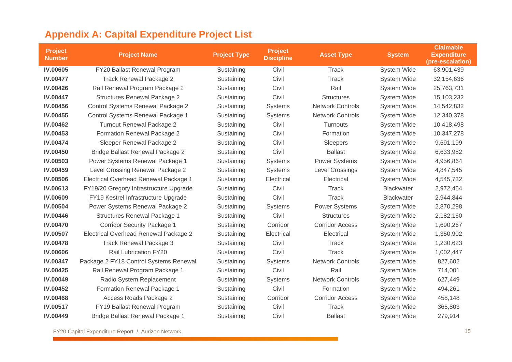<span id="page-14-0"></span>

| <b>Project Name</b>                    | <b>Project Type</b> | <b>Project</b><br><b>Discipline</b> | <b>Asset Type</b>       | <b>System</b>      | <b>Claimable</b><br><b>Expenditure</b><br>(pre-escalation) |
|----------------------------------------|---------------------|-------------------------------------|-------------------------|--------------------|------------------------------------------------------------|
| FY20 Ballast Renewal Program           | Sustaining          | Civil                               | Track                   | <b>System Wide</b> | 63,901,439                                                 |
| <b>Track Renewal Package 2</b>         | Sustaining          | Civil                               | Track                   | System Wide        | 32,154,636                                                 |
| Rail Renewal Program Package 2         | Sustaining          | Civil                               | Rail                    | System Wide        | 25,763,731                                                 |
| <b>Structures Renewal Package 2</b>    | Sustaining          | Civil                               | <b>Structures</b>       | System Wide        | 15,103,232                                                 |
| Control Systems Renewal Package 2      | Sustaining          | <b>Systems</b>                      | <b>Network Controls</b> | System Wide        | 14,542,832                                                 |
| Control Systems Renewal Package 1      | Sustaining          | <b>Systems</b>                      | <b>Network Controls</b> | System Wide        | 12,340,378                                                 |
| <b>Turnout Renewal Package 2</b>       | Sustaining          | Civil                               | Turnouts                | System Wide        | 10,418,498                                                 |
| Formation Renewal Package 2            | Sustaining          | Civil                               | Formation               | System Wide        | 10,347,278                                                 |
| Sleeper Renewal Package 2              | Sustaining          | Civil                               | Sleepers                | System Wide        | 9,691,199                                                  |
| Bridge Ballast Renewal Package 2       | Sustaining          | Civil                               | <b>Ballast</b>          | System Wide        | 6,633,982                                                  |
| Power Systems Renewal Package 1        | Sustaining          | <b>Systems</b>                      | <b>Power Systems</b>    | System Wide        | 4,956,864                                                  |
| Level Crossing Renewal Package 2       | Sustaining          | <b>Systems</b>                      | <b>Level Crossings</b>  | System Wide        | 4,847,545                                                  |
| Electrical Overhead Renewal Package 1  | Sustaining          | Electrical                          | Electrical              | System Wide        | 4,545,732                                                  |
| FY19/20 Gregory Infrastructure Upgrade | Sustaining          | Civil                               | Track                   | <b>Blackwater</b>  | 2,972,464                                                  |
| FY19 Kestrel Infrastructure Upgrade    | Sustaining          | Civil                               | Track                   | <b>Blackwater</b>  | 2,944,844                                                  |
| Power Systems Renewal Package 2        | Sustaining          | <b>Systems</b>                      | <b>Power Systems</b>    | System Wide        | 2,870,298                                                  |
| <b>Structures Renewal Package 1</b>    | Sustaining          | Civil                               | <b>Structures</b>       | System Wide        | 2,182,160                                                  |
| <b>Corridor Security Package 1</b>     | Sustaining          | Corridor                            | <b>Corridor Access</b>  | System Wide        | 1,690,267                                                  |
| Electrical Overhead Renewal Package 2  | Sustaining          | Electrical                          | Electrical              | System Wide        | 1,350,902                                                  |
| <b>Track Renewal Package 3</b>         | Sustaining          | Civil                               | Track                   | <b>System Wide</b> | 1,230,623                                                  |
| <b>Rail Lubrication FY20</b>           | Sustaining          | Civil                               | Track                   | <b>System Wide</b> | 1,002,447                                                  |
| Package 2 FY18 Control Systems Renewal | Sustaining          | <b>Systems</b>                      | <b>Network Controls</b> | System Wide        | 827,602                                                    |
| Rail Renewal Program Package 1         | Sustaining          | Civil                               | Rail                    | <b>System Wide</b> | 714,001                                                    |
| Radio System Replacement               | Sustaining          | <b>Systems</b>                      | <b>Network Controls</b> | System Wide        | 627,449                                                    |
| Formation Renewal Package 1            | Sustaining          | Civil                               | Formation               | <b>System Wide</b> | 494,261                                                    |
| Access Roads Package 2                 | Sustaining          | Corridor                            | <b>Corridor Access</b>  | System Wide        | 458,148                                                    |
| FY19 Ballast Renewal Program           | Sustaining          | Civil                               | <b>Track</b>            | System Wide        | 365,803                                                    |
| Bridge Ballast Renewal Package 1       | Sustaining          | Civil                               | <b>Ballast</b>          | System Wide        | 279,914                                                    |
|                                        |                     |                                     |                         |                    |                                                            |

# **Appendix A: Capital Expenditure Project List**

FY20 Capital Expenditure Report / Aurizon Network 15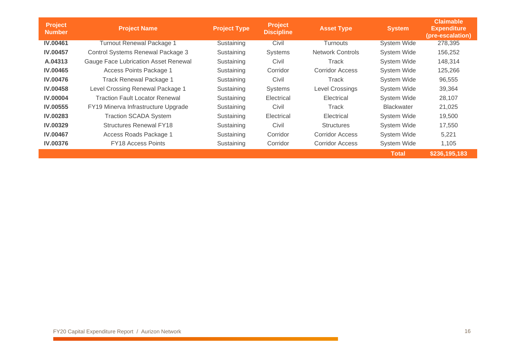| <b>Project</b><br><b>Number</b> | <b>Project Name</b>                   | <b>Project Type</b> | <b>Project</b><br><b>Discipline</b> | <b>Asset Type</b>       | <b>System</b>      | <b>Claimable</b><br><b>Expenditure</b><br>(pre-escalation) |
|---------------------------------|---------------------------------------|---------------------|-------------------------------------|-------------------------|--------------------|------------------------------------------------------------|
| <b>IV.00461</b>                 | <b>Turnout Renewal Package 1</b>      | Sustaining          | Civil                               | <b>Turnouts</b>         | <b>System Wide</b> | 278,395                                                    |
| <b>IV.00457</b>                 | Control Systems Renewal Package 3     | Sustaining          | Systems                             | <b>Network Controls</b> | System Wide        | 156,252                                                    |
| A.04313                         | Gauge Face Lubrication Asset Renewal  | Sustaining          | Civil                               | Track                   | System Wide        | 148,314                                                    |
| <b>IV.00465</b>                 | Access Points Package 1               | Sustaining          | Corridor                            | <b>Corridor Access</b>  | System Wide        | 125,266                                                    |
| <b>IV.00476</b>                 | <b>Track Renewal Package 1</b>        | Sustaining          | Civil                               | Track                   | System Wide        | 96,555                                                     |
| <b>IV.00458</b>                 | Level Crossing Renewal Package 1      | Sustaining          | Systems                             | <b>Level Crossings</b>  | System Wide        | 39,364                                                     |
| <b>IV.00004</b>                 | <b>Traction Fault Locator Renewal</b> | Sustaining          | Electrical                          | Electrical              | System Wide        | 28,107                                                     |
| <b>IV.00555</b>                 | FY19 Minerva Infrastructure Upgrade   | Sustaining          | Civil                               | Track                   | <b>Blackwater</b>  | 21,025                                                     |
| <b>IV.00283</b>                 | <b>Traction SCADA System</b>          | Sustaining          | Electrical                          | Electrical              | System Wide        | 19,500                                                     |
| <b>IV.00329</b>                 | <b>Structures Renewal FY18</b>        | Sustaining          | Civil                               | <b>Structures</b>       | System Wide        | 17,550                                                     |
| <b>IV.00467</b>                 | Access Roads Package 1                | Sustaining          | Corridor                            | Corridor Access         | System Wide        | 5,221                                                      |
| <b>IV.00376</b>                 | <b>FY18 Access Points</b>             | Sustaining          | Corridor                            | Corridor Access         | System Wide        | 1,105                                                      |
|                                 |                                       |                     |                                     |                         | <b>Total</b>       | \$236,195,183                                              |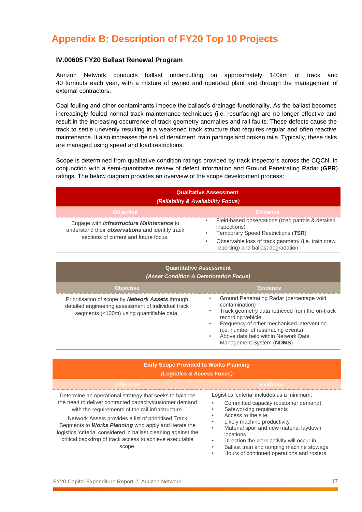# <span id="page-16-1"></span><span id="page-16-0"></span>**Appendix B: Description of FY20 Top 10 Projects**

### **IV.00605 FY20 Ballast Renewal Program**

Aurizon Network conducts ballast undercutting on approximately 140km of track and 40 turnouts each year, with a mixture of owned and operated plant and through the management of external contractors.

Coal fouling and other contaminants impede the ballast's drainage functionality. As the ballast becomes increasingly fouled normal track maintenance techniques (i.e. resurfacing) are no longer effective and result in the increasing occurrence of track geometry anomalies and rail faults. These defects cause the track to settle unevenly resulting in a weakened track structure that requires regular and often reactive maintenance. It also increases the risk of derailment, train partings and broken rails. Typically, these risks are managed using speed and load restrictions.

Scope is determined from qualitative condition ratings provided by track inspectors across the CQCN, in conjunction with a semi-quantitative review of defect information and Ground Penetrating Radar (**GPR**) ratings. The below diagram provides an overview of the scope development process:

| <b>Qualitative Assessment</b><br>(Reliability & Availability Focus)                                                                           |                                                                                                                                                                                                                  |  |  |  |  |
|-----------------------------------------------------------------------------------------------------------------------------------------------|------------------------------------------------------------------------------------------------------------------------------------------------------------------------------------------------------------------|--|--|--|--|
| <b>Objective</b>                                                                                                                              | <b>Evidence</b>                                                                                                                                                                                                  |  |  |  |  |
| Engage with <b>Infrastructure Maintenance</b> to<br>understand their observations and identify track<br>sections of current and future focus. | Field-based observations (road patrols & detailed<br>$\bullet$<br>inspections)<br>Temporary Speed Restrictions (TSR)<br>Observable loss of track geometry (i.e. train crew<br>reporting) and ballast degradation |  |  |  |  |

| <b>Quantitative Assessment</b><br>(Asset Condition & Deterioration Focus)                                                                             |                                                                                                                                                                                                                                                                                                               |  |  |  |  |  |
|-------------------------------------------------------------------------------------------------------------------------------------------------------|---------------------------------------------------------------------------------------------------------------------------------------------------------------------------------------------------------------------------------------------------------------------------------------------------------------|--|--|--|--|--|
| <b>Objective</b>                                                                                                                                      | <b>Evidence</b>                                                                                                                                                                                                                                                                                               |  |  |  |  |  |
| Prioritisation of scope by Network Assets through<br>detailed engineering assessment of individual track<br>segments (<100m) using quantifiable data. | Ground Penetrating Radar (percentage void<br>contamination)<br>Track geometry data retrieved from the on-track<br>recording vehicle<br>Frequency of other mechanised intervention<br>$\bullet$<br>(i.e. number of resurfacing events)<br>Above data held within Network Data<br>٠<br>Management System (NDMS) |  |  |  |  |  |

### **Early Scope Provided to Works Planning** *(Logistics & Access Focus)*

| <b>Objective</b>                                                                                                                                                                                                                                                                                                                                                                                                               | <b>Evidence</b>                                                                                                                                                                                                                                                                                                                                                           |
|--------------------------------------------------------------------------------------------------------------------------------------------------------------------------------------------------------------------------------------------------------------------------------------------------------------------------------------------------------------------------------------------------------------------------------|---------------------------------------------------------------------------------------------------------------------------------------------------------------------------------------------------------------------------------------------------------------------------------------------------------------------------------------------------------------------------|
| Determine an operational strategy that seeks to balance<br>the need to deliver contracted capacity/customer demand<br>with the requirements of the rail infrastructure.<br>Network Assets provides a list of prioritised Track<br>Segments to Works Planning who apply and iterate the<br>logistics 'criteria' considered in ballast cleaning against the<br>critical backdrop of track access to achieve executable<br>scope. | Logistics 'criteria' includes as a minimum;<br>Committed capacity (customer demand)<br>Safeworking requirements<br>Access to the site<br>Likely machine productivity<br>Material spoil and new material laydown<br>locations<br>Direction the work activity will occur in<br>Ballast train and tamping machine stowage<br>٠<br>Hours of continued operations and rosters. |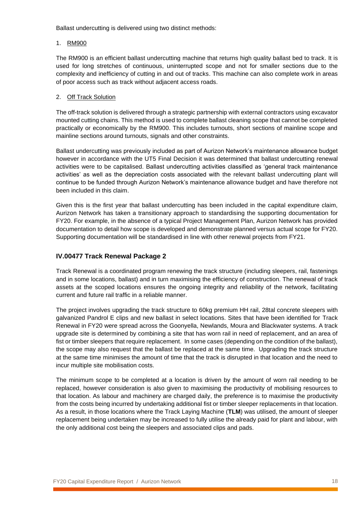Ballast undercutting is delivered using two distinct methods:

### 1. RM900

The RM900 is an efficient ballast undercutting machine that returns high quality ballast bed to track. It is used for long stretches of continuous, uninterrupted scope and not for smaller sections due to the complexity and inefficiency of cutting in and out of tracks. This machine can also complete work in areas of poor access such as track without adjacent access roads.

### 2. Off Track Solution

The off-track solution is delivered through a strategic partnership with external contractors using excavator mounted cutting chains. This method is used to complete ballast cleaning scope that cannot be completed practically or economically by the RM900. This includes turnouts, short sections of mainline scope and mainline sections around turnouts, signals and other constraints.

Ballast undercutting was previously included as part of Aurizon Network's maintenance allowance budget however in accordance with the UT5 Final Decision it was determined that ballast undercutting renewal activities were to be capitalised. Ballast undercutting activities classified as 'general track maintenance activities' as well as the depreciation costs associated with the relevant ballast undercutting plant will continue to be funded through Aurizon Network's maintenance allowance budget and have therefore not been included in this claim.

Given this is the first year that ballast undercutting has been included in the capital expenditure claim, Aurizon Network has taken a transitionary approach to standardising the supporting documentation for FY20. For example, in the absence of a typical Project Management Plan, Aurizon Network has provided documentation to detail how scope is developed and demonstrate planned versus actual scope for FY20. Supporting documentation will be standardised in line with other renewal projects from FY21.

### <span id="page-17-0"></span>**IV.00477 Track Renewal Package 2**

Track Renewal is a coordinated program renewing the track structure (including sleepers, rail, fastenings and in some locations, ballast) and in turn maximising the efficiency of construction. The renewal of track assets at the scoped locations ensures the ongoing integrity and reliability of the network, facilitating current and future rail traffic in a reliable manner.

The project involves upgrading the track structure to 60kg premium HH rail, 28tal concrete sleepers with galvanized Pandrol E clips and new ballast in select locations. Sites that have been identified for Track Renewal in FY20 were spread across the Goonyella, Newlands, Moura and Blackwater systems. A track upgrade site is determined by combining a site that has worn rail in need of replacement, and an area of fist or timber sleepers that require replacement. In some cases (depending on the condition of the ballast), the scope may also request that the ballast be replaced at the same time. Upgrading the track structure at the same time minimises the amount of time that the track is disrupted in that location and the need to incur multiple site mobilisation costs.

The minimum scope to be completed at a location is driven by the amount of worn rail needing to be replaced, however consideration is also given to maximising the productivity of mobilising resources to that location. As labour and machinery are charged daily, the preference is to maximise the productivity from the costs being incurred by undertaking additional fist or timber sleeper replacements in that location. As a result, in those locations where the Track Laying Machine (**TLM**) was utilised, the amount of sleeper replacement being undertaken may be increased to fully utilise the already paid for plant and labour, with the only additional cost being the sleepers and associated clips and pads.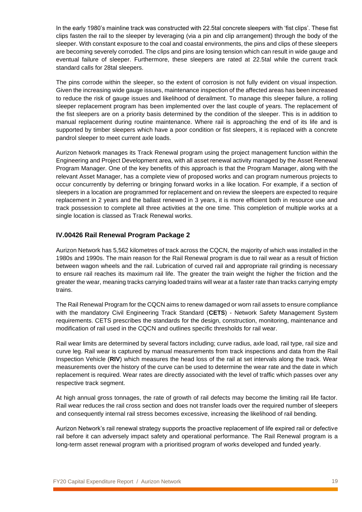In the early 1980's mainline track was constructed with 22.5tal concrete sleepers with 'fist clips'. These fist clips fasten the rail to the sleeper by leveraging (via a pin and clip arrangement) through the body of the sleeper. With constant exposure to the coal and coastal environments, the pins and clips of these sleepers are becoming severely corroded. The clips and pins are losing tension which can result in wide gauge and eventual failure of sleeper. Furthermore, these sleepers are rated at 22.5tal while the current track standard calls for 28tal sleepers.

The pins corrode within the sleeper, so the extent of corrosion is not fully evident on visual inspection. Given the increasing wide gauge issues, maintenance inspection of the affected areas has been increased to reduce the risk of gauge issues and likelihood of derailment. To manage this sleeper failure, a rolling sleeper replacement program has been implemented over the last couple of years. The replacement of the fist sleepers are on a priority basis determined by the condition of the sleeper. This is in addition to manual replacement during routine maintenance. Where rail is approaching the end of its life and is supported by timber sleepers which have a poor condition or fist sleepers, it is replaced with a concrete pandrol sleeper to meet current axle loads.

Aurizon Network manages its Track Renewal program using the project management function within the Engineering and Project Development area, with all asset renewal activity managed by the Asset Renewal Program Manager. One of the key benefits of this approach is that the Program Manager, along with the relevant Asset Manager, has a complete view of proposed works and can program numerous projects to occur concurrently by deferring or bringing forward works in a like location. For example, if a section of sleepers in a location are programmed for replacement and on review the sleepers are expected to require replacement in 2 years and the ballast renewed in 3 years, it is more efficient both in resource use and track possession to complete all three activities at the one time. This completion of multiple works at a single location is classed as Track Renewal works.

### <span id="page-18-0"></span>**IV.00426 Rail Renewal Program Package 2**

Aurizon Network has 5,562 kilometres of track across the CQCN, the majority of which was installed in the 1980s and 1990s. The main reason for the Rail Renewal program is due to rail wear as a result of friction between wagon wheels and the rail. Lubrication of curved rail and appropriate rail grinding is necessary to ensure rail reaches its maximum rail life. The greater the train weight the higher the friction and the greater the wear, meaning tracks carrying loaded trains will wear at a faster rate than tracks carrying empty trains.

The Rail Renewal Program for the CQCN aims to renew damaged or worn rail assets to ensure compliance with the mandatory Civil Engineering Track Standard (**CETS**) - Network Safety Management System requirements. CETS prescribes the standards for the design, construction, monitoring, maintenance and modification of rail used in the CQCN and outlines specific thresholds for rail wear.

Rail wear limits are determined by several factors including; curve radius, axle load, rail type, rail size and curve leg. Rail wear is captured by manual measurements from track inspections and data from the Rail Inspection Vehicle (**RIV**) which measures the head loss of the rail at set intervals along the track. Wear measurements over the history of the curve can be used to determine the wear rate and the date in which replacement is required. Wear rates are directly associated with the level of traffic which passes over any respective track segment.

At high annual gross tonnages, the rate of growth of rail defects may become the limiting rail life factor. Rail wear reduces the rail cross section and does not transfer loads over the required number of sleepers and consequently internal rail stress becomes excessive, increasing the likelihood of rail bending.

Aurizon Network's rail renewal strategy supports the proactive replacement of life expired rail or defective rail before it can adversely impact safety and operational performance. The Rail Renewal program is a long-term asset renewal program with a prioritised program of works developed and funded yearly.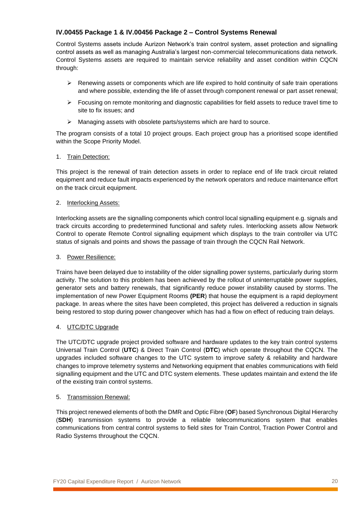### <span id="page-19-0"></span>**IV.00455 Package 1 & IV.00456 Package 2 – Control Systems Renewal**

Control Systems assets include Aurizon Network's train control system, asset protection and signalling control assets as well as managing Australia's largest non-commercial telecommunications data network. Control Systems assets are required to maintain service reliability and asset condition within CQCN through:

- ➢ Renewing assets or components which are life expired to hold continuity of safe train operations and where possible, extending the life of asset through component renewal or part asset renewal;
- $\triangleright$  Focusing on remote monitoring and diagnostic capabilities for field assets to reduce travel time to site to fix issues; and
- ➢ Managing assets with obsolete parts/systems which are hard to source.

The program consists of a total 10 project groups. Each project group has a prioritised scope identified within the Scope Priority Model.

### 1. Train Detection:

This project is the renewal of train detection assets in order to replace end of life track circuit related equipment and reduce fault impacts experienced by the network operators and reduce maintenance effort on the track circuit equipment.

#### 2. Interlocking Assets:

Interlocking assets are the signalling components which control local signalling equipment e.g. signals and track circuits according to predetermined functional and safety rules. Interlocking assets allow Network Control to operate Remote Control signalling equipment which displays to the train controller via UTC status of signals and points and shows the passage of train through the CQCN Rail Network.

### 3. Power Resilience:

Trains have been delayed due to instability of the older signalling power systems, particularly during storm activity. The solution to this problem has been achieved by the rollout of uninterruptable power supplies, generator sets and battery renewals, that significantly reduce power instability caused by storms. The implementation of new Power Equipment Rooms **(PER**) that house the equipment is a rapid deployment package. In areas where the sites have been completed, this project has delivered a reduction in signals being restored to stop during power changeover which has had a flow on effect of reducing train delays.

#### 4. UTC/DTC Upgrade

The UTC/DTC upgrade project provided software and hardware updates to the key train control systems Universal Train Control (**UTC**) & Direct Train Control (**DTC**) which operate throughout the CQCN. The upgrades included software changes to the UTC system to improve safety & reliability and hardware changes to improve telemetry systems and Networking equipment that enables communications with field signalling equipment and the UTC and DTC system elements. These updates maintain and extend the life of the existing train control systems.

#### 5. Transmission Renewal:

This project renewed elements of both the DMR and Optic Fibre (**OF**) based Synchronous Digital Hierarchy (**SDH**) transmission systems to provide a reliable telecommunications system that enables communications from central control systems to field sites for Train Control, Traction Power Control and Radio Systems throughout the CQCN.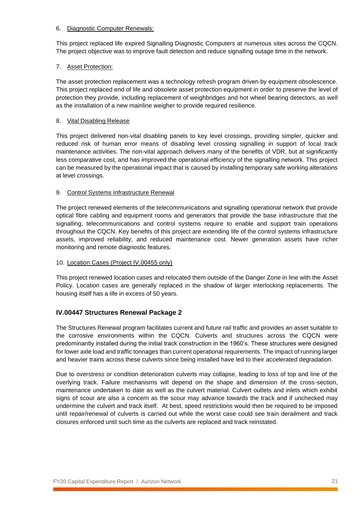#### 6. Diagnostic Computer Renewals:

This project replaced life expired Signalling Diagnostic Computers at numerous sites across the CQCN. The project objective was to improve fault detection and reduce signalling outage time in the network.

### 7. Asset Protection:

The asset protection replacement was a technology refresh program driven by equipment obsolescence. This project replaced end of life and obsolete asset protection equipment in order to preserve the level of protection they provide, including replacement of weighbridges and hot wheel bearing detectors, as well as the installation of a new mainline weigher to provide required resilience.

### 8. Vital Disabling Release

This project delivered non-vital disabling panels to key level crossings, providing simpler, quicker and reduced risk of human error means of disabling level crossing signalling in support of local track maintenance activities. The non-vital approach delivers many of the benefits of VDR, but at significantly less comparative cost, and has improved the operational efficiency of the signalling network. This project can be measured by the operational impact that is caused by installing temporary safe working alterations at level crossings.

#### 9. Control Systems Infrastructure Renewal

The project renewed elements of the telecommunications and signalling operational network that provide optical fibre cabling and equipment rooms and generators that provide the base infrastructure that the signalling, telecommunications and control systems require to enable and support train operations throughout the CQCN. Key benefits of this project are extending life of the control systems infrastructure assets, improved reliability, and reduced maintenance cost. Newer generation assets have richer monitoring and remote diagnostic features.

#### 10. Location Cases (Project IV.00455 only)

This project renewed location cases and relocated them outside of the Danger Zone in line with the Asset Policy. Location cases are generally replaced in the shadow of larger interlocking replacements. The housing itself has a life in excess of 50 years.

### <span id="page-20-0"></span>**IV.00447 Structures Renewal Package 2**

The Structures Renewal program facilitates current and future rail traffic and provides an asset suitable to the corrosive environments within the CQCN. Culverts and structures across the CQCN were predominantly installed during the initial track construction in the 1960's. These structures were designed for lower axle load and traffic tonnages than current operational requirements. The impact of running larger and heavier trains across these culverts since being installed have led to their accelerated degradation.

Due to overstress or condition deterioration culverts may collapse, leading to loss of top and line of the overlying track. Failure mechanisms will depend on the shape and dimension of the cross-section, maintenance undertaken to date as well as the culvert material. Culvert outlets and inlets which exhibit signs of scour are also a concern as the scour may advance towards the track and if unchecked may undermine the culvert and track itself. At best, speed restrictions would then be required to be imposed until repair/renewal of culverts is carried out while the worst case could see train derailment and track closures enforced until such time as the culverts are replaced and track reinstated.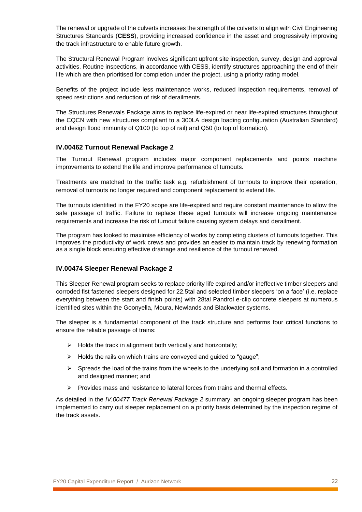The renewal or upgrade of the culverts increases the strength of the culverts to align with Civil Engineering Structures Standards (**CESS**), providing increased confidence in the asset and progressively improving the track infrastructure to enable future growth.

The Structural Renewal Program involves significant upfront site inspection, survey, design and approval activities. Routine inspections, in accordance with CESS, identify structures approaching the end of their life which are then prioritised for completion under the project, using a priority rating model.

Benefits of the project include less maintenance works, reduced inspection requirements, removal of speed restrictions and reduction of risk of derailments.

The Structures Renewals Package aims to replace life-expired or near life-expired structures throughout the CQCN with new structures compliant to a 300LA design loading configuration (Australian Standard) and design flood immunity of Q100 (to top of rail) and Q50 (to top of formation).

#### <span id="page-21-0"></span>**IV.00462 Turnout Renewal Package 2**

The Turnout Renewal program includes major component replacements and points machine improvements to extend the life and improve performance of turnouts.

Treatments are matched to the traffic task e.g. refurbishment of turnouts to improve their operation, removal of turnouts no longer required and component replacement to extend life.

The turnouts identified in the FY20 scope are life-expired and require constant maintenance to allow the safe passage of traffic. Failure to replace these aged turnouts will increase ongoing maintenance requirements and increase the risk of turnout failure causing system delays and derailment.

The program has looked to maximise efficiency of works by completing clusters of turnouts together. This improves the productivity of work crews and provides an easier to maintain track by renewing formation as a single block ensuring effective drainage and resilience of the turnout renewed.

#### <span id="page-21-1"></span>**IV.00474 Sleeper Renewal Package 2**

This Sleeper Renewal program seeks to replace priority life expired and/or ineffective timber sleepers and corroded fist fastened sleepers designed for 22.5tal and selected timber sleepers 'on a face' (i.e. replace everything between the start and finish points) with 28tal Pandrol e-clip concrete sleepers at numerous identified sites within the Goonyella, Moura, Newlands and Blackwater systems.

The sleeper is a fundamental component of the track structure and performs four critical functions to ensure the reliable passage of trains:

- ➢ Holds the track in alignment both vertically and horizontally;
- ➢ Holds the rails on which trains are conveyed and guided to "gauge";
- $\triangleright$  Spreads the load of the trains from the wheels to the underlying soil and formation in a controlled and designed manner; and
- $\triangleright$  Provides mass and resistance to lateral forces from trains and thermal effects.

As detailed in the *IV.00477 Track Renewal Package 2* summary, an ongoing sleeper program has been implemented to carry out sleeper replacement on a priority basis determined by the inspection regime of the track assets.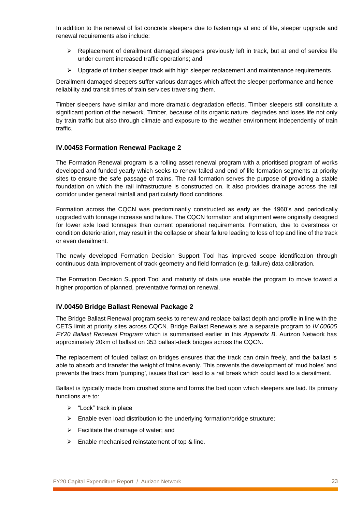In addition to the renewal of fist concrete sleepers due to fastenings at end of life, sleeper upgrade and renewal requirements also include:

- $\triangleright$  Replacement of derailment damaged sleepers previously left in track, but at end of service life under current increased traffic operations; and
- $\triangleright$  Upgrade of timber sleeper track with high sleeper replacement and maintenance requirements.

Derailment damaged sleepers suffer various damages which affect the sleeper performance and hence reliability and transit times of train services traversing them.

Timber sleepers have similar and more dramatic degradation effects. Timber sleepers still constitute a significant portion of the network. Timber, because of its organic nature, degrades and loses life not only by train traffic but also through climate and exposure to the weather environment independently of train traffic.

### <span id="page-22-0"></span>**IV.00453 Formation Renewal Package 2**

The Formation Renewal program is a rolling asset renewal program with a prioritised program of works developed and funded yearly which seeks to renew failed and end of life formation segments at priority sites to ensure the safe passage of trains. The rail formation serves the purpose of providing a stable foundation on which the rail infrastructure is constructed on. It also provides drainage across the rail corridor under general rainfall and particularly flood conditions.

Formation across the CQCN was predominantly constructed as early as the 1960's and periodically upgraded with tonnage increase and failure. The CQCN formation and alignment were originally designed for lower axle load tonnages than current operational requirements. Formation, due to overstress or condition deterioration, may result in the collapse or shear failure leading to loss of top and line of the track or even derailment.

The newly developed Formation Decision Support Tool has improved scope identification through continuous data improvement of track geometry and field formation (e.g. failure) data calibration.

The Formation Decision Support Tool and maturity of data use enable the program to move toward a higher proportion of planned, preventative formation renewal.

#### <span id="page-22-1"></span>**IV.00450 Bridge Ballast Renewal Package 2**

The Bridge Ballast Renewal program seeks to renew and replace ballast depth and profile in line with the CETS limit at priority sites across CQCN. Bridge Ballast Renewals are a separate program to *IV.00605 FY20 Ballast Renewal Program* which is summarised earlier in this *Appendix B*. Aurizon Network has approximately 20km of ballast on 353 ballast-deck bridges across the CQCN.

The replacement of fouled ballast on bridges ensures that the track can drain freely, and the ballast is able to absorb and transfer the weight of trains evenly. This prevents the development of 'mud holes' and prevents the track from 'pumping', issues that can lead to a rail break which could lead to a derailment.

Ballast is typically made from crushed stone and forms the bed upon which sleepers are laid. Its primary functions are to:

- ➢ "Lock" track in place
- ➢ Enable even load distribution to the underlying formation/bridge structure;
- $\triangleright$  Facilitate the drainage of water; and
- $\triangleright$  Enable mechanised reinstatement of top & line.